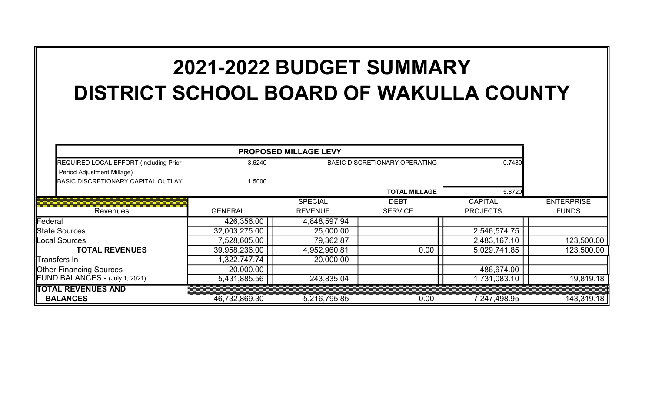## 2021-2022 BUDGET SUMMARY DISTRICT SCHOOL BOARD OF WAKULLA COUNTY

| REQUIRED LOCAL EFFORT (including Prior<br>Period Adjustment Millage) | 3.6240         | <b>BASIC DISCRETIONARY OPERATING</b> |                      | 0.7480          |                   |
|----------------------------------------------------------------------|----------------|--------------------------------------|----------------------|-----------------|-------------------|
| <b>BASIC DISCRETIONARY CAPITAL OUTLAY</b>                            | 1.5000         |                                      |                      |                 |                   |
|                                                                      |                |                                      | <b>TOTAL MILLAGE</b> | 5.8720          |                   |
|                                                                      |                | <b>SPECIAL</b>                       | <b>DEBT</b>          | <b>CAPITAL</b>  | <b>ENTERPRISE</b> |
| Revenues                                                             | <b>GENERAL</b> | <b>REVENUE</b>                       | <b>SERVICE</b>       | <b>PROJECTS</b> | <b>FUNDS</b>      |
| Federal                                                              | 426,356.00     | 4,848,597.94                         |                      |                 |                   |
| <b>S</b> tate Sources                                                | 32,003,275.00  | 25,000.00                            |                      | 2,546,574.75    |                   |
| Local Sources                                                        | 7,528,605.00   | 79,362.87                            |                      | 2,483,167.10    | 123,500.00        |
| <b>TOTAL REVENUES</b>                                                | 39,958,236.00  | 4,952,960.81                         | 0.00                 | 5,029,741.85    | 123,500.00        |
| Transfers In                                                         | 1,322,747.74   | 20,000.00                            |                      |                 |                   |
| <b>Other Financing Sources</b>                                       | 20,000.00      |                                      |                      | 486,674.00      |                   |
| FUND BALANCES - (July 1, 2021)                                       | 5,431,885.56   | 243,835.04                           |                      | 1,731,083.10    | 19,819.18         |
| TOTAL REVENUES AND                                                   |                |                                      |                      |                 |                   |
| <b>BALANCES</b>                                                      | 46,732,869.30  | 5,216,795.85                         | 0.00                 | 7,247,498.95    | 143,319.18        |